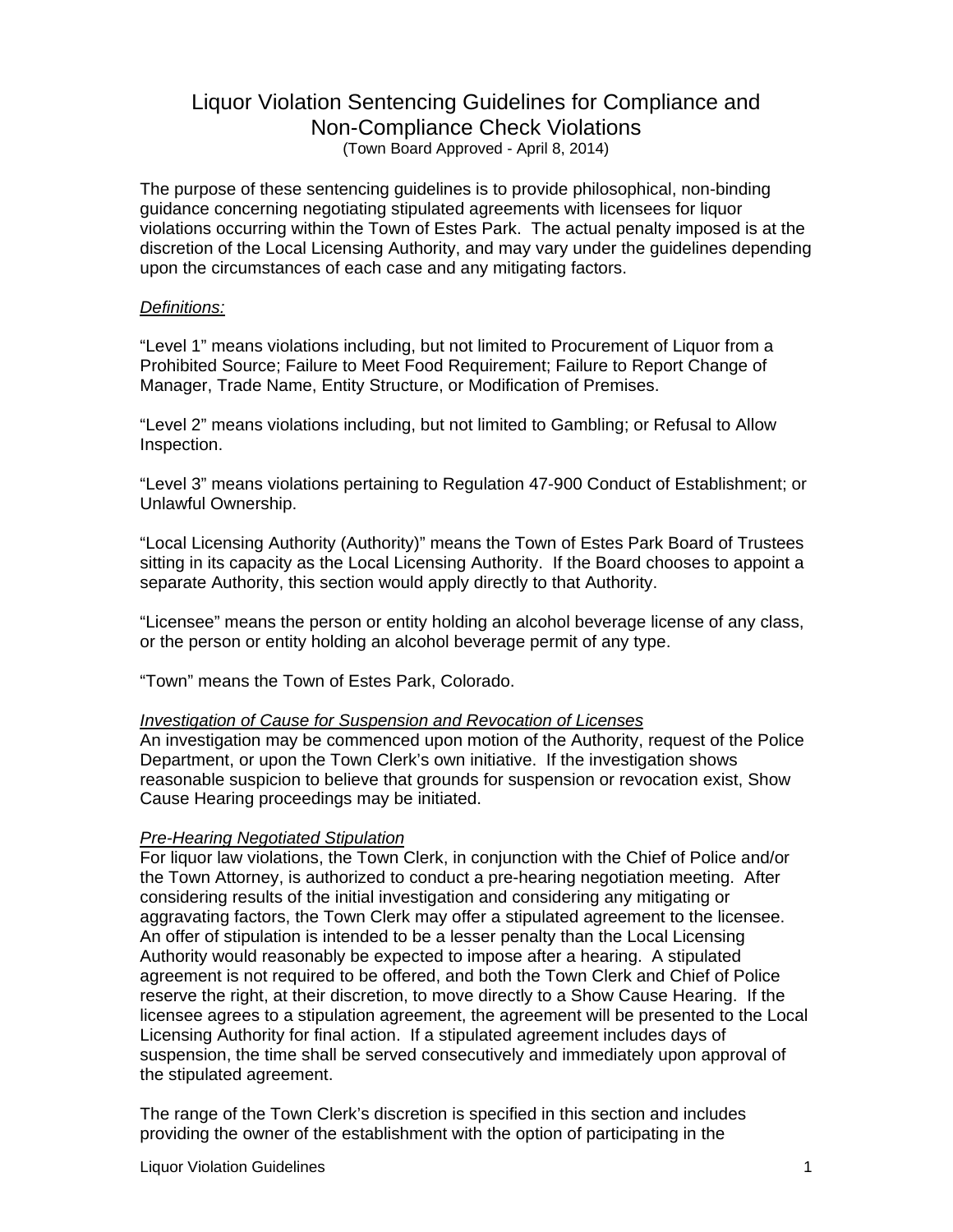# Liquor Violation Sentencing Guidelines for Compliance and Non-Compliance Check Violations (Town Board Approved - April 8, 2014)

The purpose of these sentencing guidelines is to provide philosophical, non-binding guidance concerning negotiating stipulated agreements with licensees for liquor violations occurring within the Town of Estes Park. The actual penalty imposed is at the discretion of the Local Licensing Authority, and may vary under the guidelines depending upon the circumstances of each case and any mitigating factors.

## *Definitions:*

"Level 1" means violations including, but not limited to Procurement of Liquor from a Prohibited Source; Failure to Meet Food Requirement; Failure to Report Change of Manager, Trade Name, Entity Structure, or Modification of Premises.

"Level 2" means violations including, but not limited to Gambling; or Refusal to Allow Inspection.

"Level 3" means violations pertaining to Regulation 47-900 Conduct of Establishment; or Unlawful Ownership.

"Local Licensing Authority (Authority)" means the Town of Estes Park Board of Trustees sitting in its capacity as the Local Licensing Authority. If the Board chooses to appoint a separate Authority, this section would apply directly to that Authority.

"Licensee" means the person or entity holding an alcohol beverage license of any class, or the person or entity holding an alcohol beverage permit of any type.

"Town" means the Town of Estes Park, Colorado.

## *Investigation of Cause for Suspension and Revocation of Licenses*

An investigation may be commenced upon motion of the Authority, request of the Police Department, or upon the Town Clerk's own initiative. If the investigation shows reasonable suspicion to believe that grounds for suspension or revocation exist, Show Cause Hearing proceedings may be initiated.

## *Pre-Hearing Negotiated Stipulation*

For liquor law violations, the Town Clerk, in conjunction with the Chief of Police and/or the Town Attorney, is authorized to conduct a pre-hearing negotiation meeting. After considering results of the initial investigation and considering any mitigating or aggravating factors, the Town Clerk may offer a stipulated agreement to the licensee. An offer of stipulation is intended to be a lesser penalty than the Local Licensing Authority would reasonably be expected to impose after a hearing. A stipulated agreement is not required to be offered, and both the Town Clerk and Chief of Police reserve the right, at their discretion, to move directly to a Show Cause Hearing. If the licensee agrees to a stipulation agreement, the agreement will be presented to the Local Licensing Authority for final action. If a stipulated agreement includes days of suspension, the time shall be served consecutively and immediately upon approval of the stipulated agreement.

The range of the Town Clerk's discretion is specified in this section and includes providing the owner of the establishment with the option of participating in the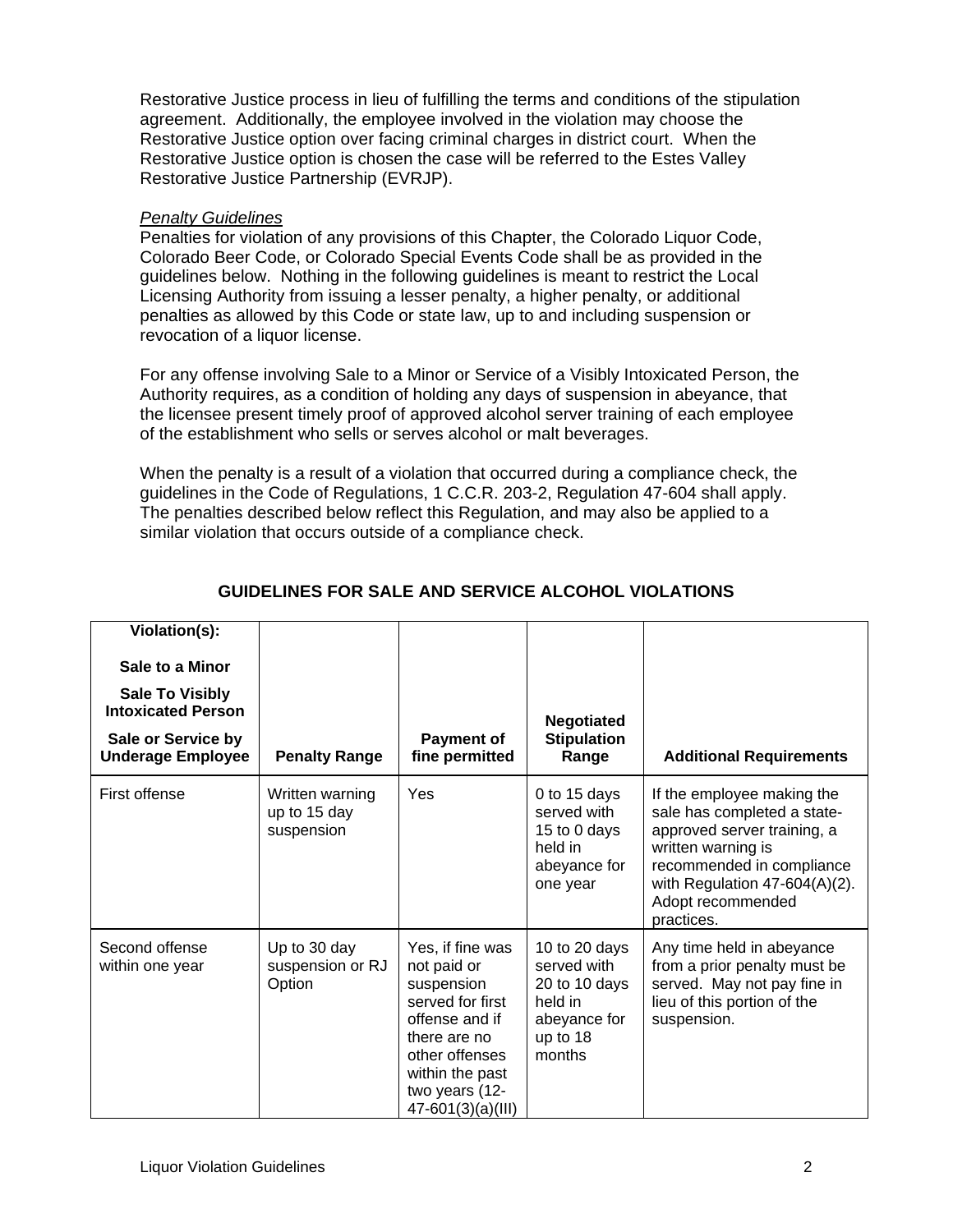Restorative Justice process in lieu of fulfilling the terms and conditions of the stipulation agreement. Additionally, the employee involved in the violation may choose the Restorative Justice option over facing criminal charges in district court. When the Restorative Justice option is chosen the case will be referred to the Estes Valley Restorative Justice Partnership (EVRJP).

## *Penalty Guidelines*

Penalties for violation of any provisions of this Chapter, the Colorado Liquor Code, Colorado Beer Code, or Colorado Special Events Code shall be as provided in the guidelines below. Nothing in the following guidelines is meant to restrict the Local Licensing Authority from issuing a lesser penalty, a higher penalty, or additional penalties as allowed by this Code or state law, up to and including suspension or revocation of a liquor license.

For any offense involving Sale to a Minor or Service of a Visibly Intoxicated Person, the Authority requires, as a condition of holding any days of suspension in abeyance, that the licensee present timely proof of approved alcohol server training of each employee of the establishment who sells or serves alcohol or malt beverages.

When the penalty is a result of a violation that occurred during a compliance check, the guidelines in the Code of Regulations, 1 C.C.R. 203-2, Regulation 47-604 shall apply. The penalties described below reflect this Regulation, and may also be applied to a similar violation that occurs outside of a compliance check.

| Violation(s):<br>Sale to a Minor<br><b>Sale To Visibly</b><br><b>Intoxicated Person</b><br>Sale or Service by<br><b>Underage Employee</b> | <b>Penalty Range</b>                          | <b>Payment of</b><br>fine permitted                                                                                                                                             | <b>Negotiated</b><br><b>Stipulation</b><br>Range                                               | <b>Additional Requirements</b>                                                                                                                                                                                  |
|-------------------------------------------------------------------------------------------------------------------------------------------|-----------------------------------------------|---------------------------------------------------------------------------------------------------------------------------------------------------------------------------------|------------------------------------------------------------------------------------------------|-----------------------------------------------------------------------------------------------------------------------------------------------------------------------------------------------------------------|
| First offense                                                                                                                             | Written warning<br>up to 15 day<br>suspension | Yes                                                                                                                                                                             | 0 to 15 days<br>served with<br>15 to 0 days<br>held in<br>abeyance for<br>one year             | If the employee making the<br>sale has completed a state-<br>approved server training, a<br>written warning is<br>recommended in compliance<br>with Regulation 47-604(A)(2).<br>Adopt recommended<br>practices. |
| Second offense<br>within one year                                                                                                         | Up to 30 day<br>suspension or RJ<br>Option    | Yes, if fine was<br>not paid or<br>suspension<br>served for first<br>offense and if<br>there are no<br>other offenses<br>within the past<br>two years (12-<br>47-601(3)(a)(III) | 10 to 20 days<br>served with<br>20 to 10 days<br>held in<br>abeyance for<br>up to 18<br>months | Any time held in abeyance<br>from a prior penalty must be<br>served. May not pay fine in<br>lieu of this portion of the<br>suspension.                                                                          |

## **GUIDELINES FOR SALE AND SERVICE ALCOHOL VIOLATIONS**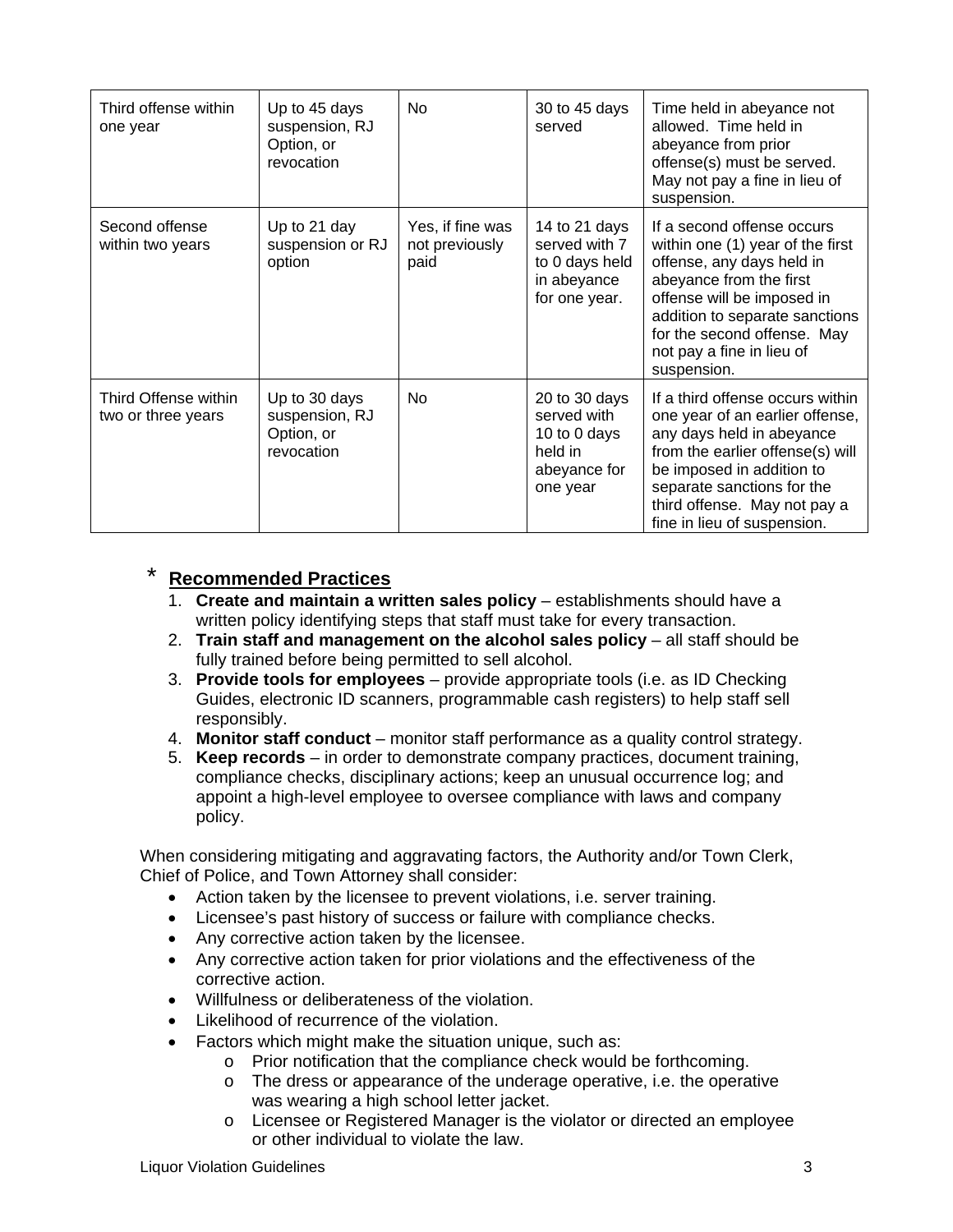| Third offense within<br>one year           | Up to 45 days<br>suspension, RJ<br>Option, or<br>revocation | No                                         | 30 to 45 days<br>served                                                             | Time held in abeyance not<br>allowed. Time held in<br>abeyance from prior<br>offense(s) must be served.<br>May not pay a fine in lieu of<br>suspension.                                                                                                           |
|--------------------------------------------|-------------------------------------------------------------|--------------------------------------------|-------------------------------------------------------------------------------------|-------------------------------------------------------------------------------------------------------------------------------------------------------------------------------------------------------------------------------------------------------------------|
| Second offense<br>within two years         | Up to 21 day<br>suspension or RJ<br>option                  | Yes, if fine was<br>not previously<br>paid | 14 to 21 days<br>served with 7<br>to 0 days held<br>in abeyance<br>for one year.    | If a second offense occurs<br>within one (1) year of the first<br>offense, any days held in<br>abeyance from the first<br>offense will be imposed in<br>addition to separate sanctions<br>for the second offense. May<br>not pay a fine in lieu of<br>suspension. |
| Third Offense within<br>two or three years | Up to 30 days<br>suspension, RJ<br>Option, or<br>revocation | No                                         | 20 to 30 days<br>served with<br>10 to 0 days<br>held in<br>abeyance for<br>one year | If a third offense occurs within<br>one year of an earlier offense,<br>any days held in abeyance<br>from the earlier offense(s) will<br>be imposed in addition to<br>separate sanctions for the<br>third offense. May not pay a<br>fine in lieu of suspension.    |

# **Recommended Practices**

- 1. **Create and maintain a written sales policy** establishments should have a written policy identifying steps that staff must take for every transaction.
- 2. **Train staff and management on the alcohol sales policy** all staff should be fully trained before being permitted to sell alcohol.
- 3. **Provide tools for employees** provide appropriate tools (i.e. as ID Checking Guides, electronic ID scanners, programmable cash registers) to help staff sell responsibly.
- 4. **Monitor staff conduct** monitor staff performance as a quality control strategy.
- 5. **Keep records** in order to demonstrate company practices, document training, compliance checks, disciplinary actions; keep an unusual occurrence log; and appoint a high-level employee to oversee compliance with laws and company policy.

When considering mitigating and aggravating factors, the Authority and/or Town Clerk, Chief of Police, and Town Attorney shall consider:

- Action taken by the licensee to prevent violations, i.e. server training.
- Licensee's past history of success or failure with compliance checks.
- Any corrective action taken by the licensee.
- Any corrective action taken for prior violations and the effectiveness of the corrective action.
- Willfulness or deliberateness of the violation.
- Likelihood of recurrence of the violation.
- Factors which might make the situation unique, such as:
	- o Prior notification that the compliance check would be forthcoming.
	- o The dress or appearance of the underage operative, i.e. the operative was wearing a high school letter jacket.
	- o Licensee or Registered Manager is the violator or directed an employee or other individual to violate the law.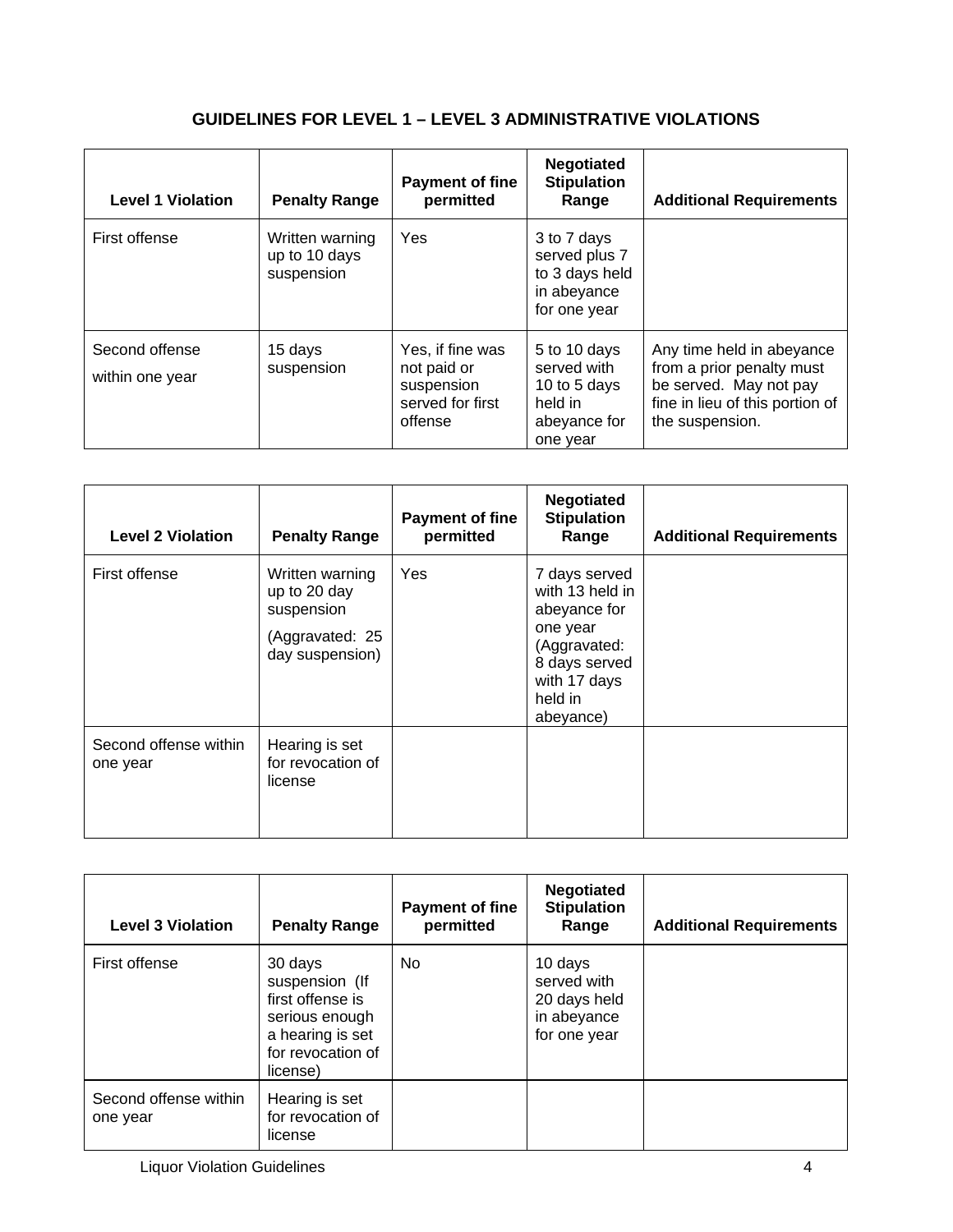# **GUIDELINES FOR LEVEL 1 – LEVEL 3 ADMINISTRATIVE VIOLATIONS**

| <b>Level 1 Violation</b>          | <b>Penalty Range</b>                           | <b>Payment of fine</b><br>permitted                                          | <b>Negotiated</b><br><b>Stipulation</b><br>Range                                   | <b>Additional Requirements</b>                                                                                                         |
|-----------------------------------|------------------------------------------------|------------------------------------------------------------------------------|------------------------------------------------------------------------------------|----------------------------------------------------------------------------------------------------------------------------------------|
| First offense                     | Written warning<br>up to 10 days<br>suspension | Yes                                                                          | 3 to 7 days<br>served plus 7<br>to 3 days held<br>in abeyance<br>for one year      |                                                                                                                                        |
| Second offense<br>within one year | 15 days<br>suspension                          | Yes, if fine was<br>not paid or<br>suspension<br>served for first<br>offense | 5 to 10 days<br>served with<br>10 to 5 days<br>held in<br>abeyance for<br>one year | Any time held in abeyance<br>from a prior penalty must<br>be served. May not pay<br>fine in lieu of this portion of<br>the suspension. |

| <b>Level 2 Violation</b>          | <b>Penalty Range</b>                                                                | <b>Payment of fine</b><br>permitted | <b>Negotiated</b><br><b>Stipulation</b><br>Range                                                                                      | <b>Additional Requirements</b> |
|-----------------------------------|-------------------------------------------------------------------------------------|-------------------------------------|---------------------------------------------------------------------------------------------------------------------------------------|--------------------------------|
| First offense                     | Written warning<br>up to 20 day<br>suspension<br>(Aggravated: 25<br>day suspension) | <b>Yes</b>                          | 7 days served<br>with 13 held in<br>abeyance for<br>one year<br>(Aggravated:<br>8 days served<br>with 17 days<br>held in<br>abeyance) |                                |
| Second offense within<br>one year | Hearing is set<br>for revocation of<br>license                                      |                                     |                                                                                                                                       |                                |

| <b>Level 3 Violation</b>          | <b>Penalty Range</b>                                                                                                 | <b>Payment of fine</b><br>permitted | <b>Negotiated</b><br><b>Stipulation</b><br>Range                      | <b>Additional Requirements</b> |
|-----------------------------------|----------------------------------------------------------------------------------------------------------------------|-------------------------------------|-----------------------------------------------------------------------|--------------------------------|
| First offense                     | 30 days<br>suspension (If<br>first offense is<br>serious enough<br>a hearing is set<br>for revocation of<br>license) | No.                                 | 10 days<br>served with<br>20 days held<br>in abeyance<br>for one year |                                |
| Second offense within<br>one year | Hearing is set<br>for revocation of<br>license                                                                       |                                     |                                                                       |                                |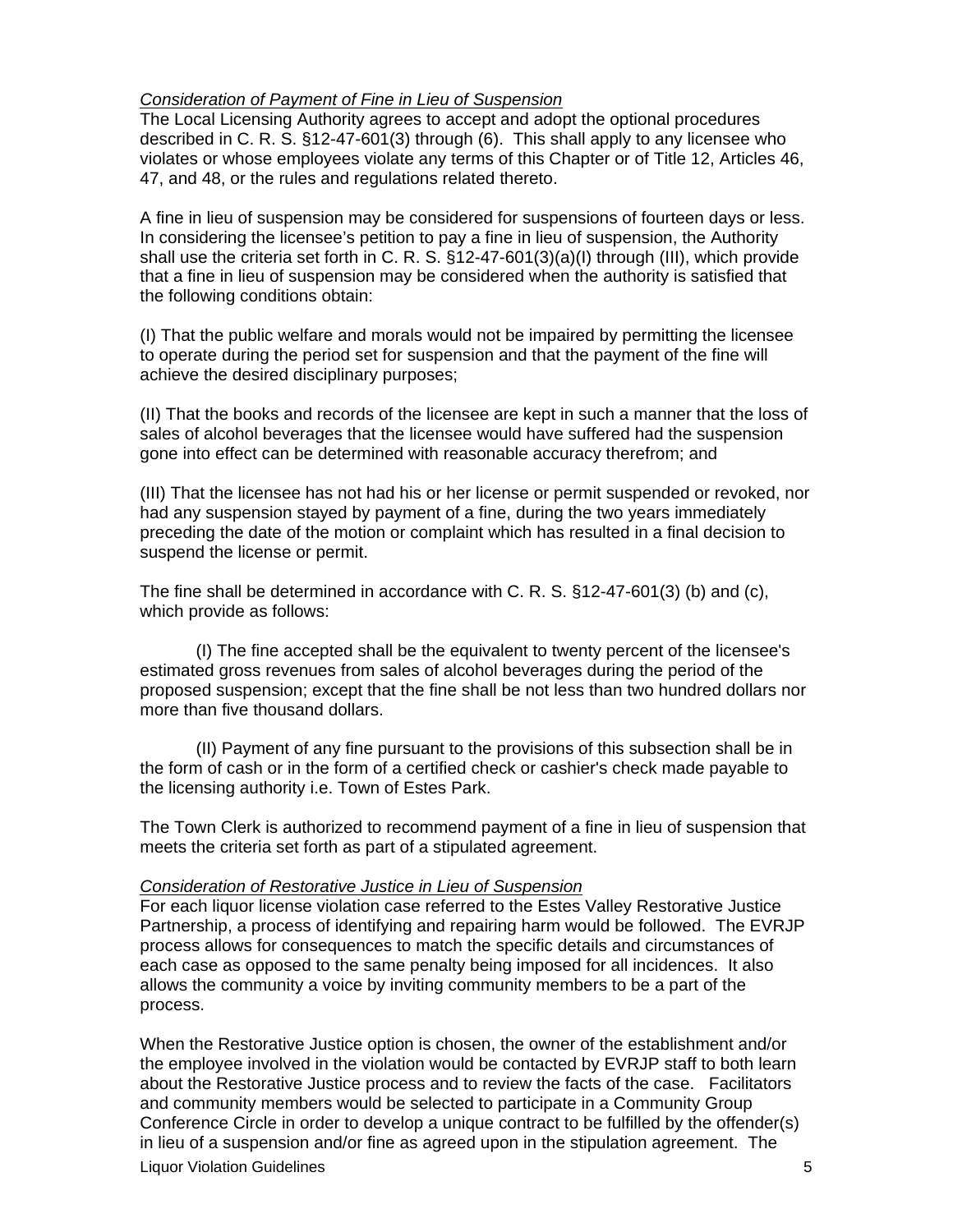## *Consideration of Payment of Fine in Lieu of Suspension*

The Local Licensing Authority agrees to accept and adopt the optional procedures described in C. R. S. §12-47-601(3) through (6). This shall apply to any licensee who violates or whose employees violate any terms of this Chapter or of Title 12, Articles 46, 47, and 48, or the rules and regulations related thereto.

A fine in lieu of suspension may be considered for suspensions of fourteen days or less. In considering the licensee's petition to pay a fine in lieu of suspension, the Authority shall use the criteria set forth in C. R. S. §12-47-601(3)(a)(I) through (III), which provide that a fine in lieu of suspension may be considered when the authority is satisfied that the following conditions obtain:

(I) That the public welfare and morals would not be impaired by permitting the licensee to operate during the period set for suspension and that the payment of the fine will achieve the desired disciplinary purposes;

(II) That the books and records of the licensee are kept in such a manner that the loss of sales of alcohol beverages that the licensee would have suffered had the suspension gone into effect can be determined with reasonable accuracy therefrom; and

(III) That the licensee has not had his or her license or permit suspended or revoked, nor had any suspension stayed by payment of a fine, during the two years immediately preceding the date of the motion or complaint which has resulted in a final decision to suspend the license or permit.

The fine shall be determined in accordance with C. R. S. §12-47-601(3) (b) and (c), which provide as follows:

 (I) The fine accepted shall be the equivalent to twenty percent of the licensee's estimated gross revenues from sales of alcohol beverages during the period of the proposed suspension; except that the fine shall be not less than two hundred dollars nor more than five thousand dollars.

 (II) Payment of any fine pursuant to the provisions of this subsection shall be in the form of cash or in the form of a certified check or cashier's check made payable to the licensing authority i.e. Town of Estes Park.

The Town Clerk is authorized to recommend payment of a fine in lieu of suspension that meets the criteria set forth as part of a stipulated agreement.

#### *Consideration of Restorative Justice in Lieu of Suspension*

For each liquor license violation case referred to the Estes Valley Restorative Justice Partnership, a process of identifying and repairing harm would be followed. The EVRJP process allows for consequences to match the specific details and circumstances of each case as opposed to the same penalty being imposed for all incidences. It also allows the community a voice by inviting community members to be a part of the process.

When the Restorative Justice option is chosen, the owner of the establishment and/or the employee involved in the violation would be contacted by EVRJP staff to both learn about the Restorative Justice process and to review the facts of the case. Facilitators and community members would be selected to participate in a Community Group Conference Circle in order to develop a unique contract to be fulfilled by the offender(s) in lieu of a suspension and/or fine as agreed upon in the stipulation agreement. The